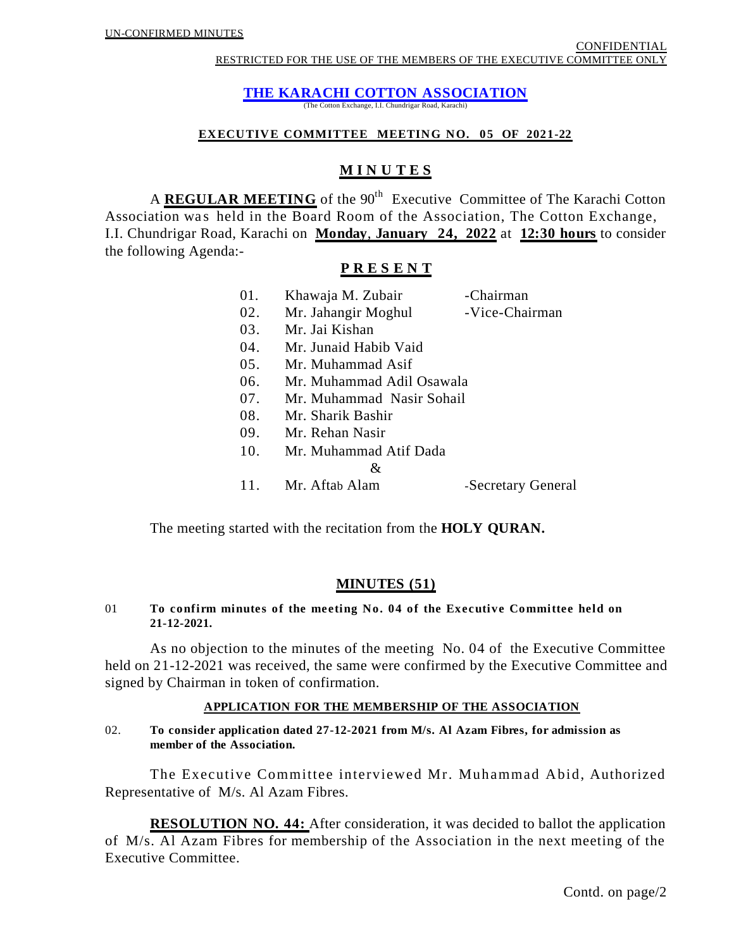**THE KARACHI COTTON ASSOCIATION**

(The Cotton Exchange, I.I. Chundrigar Road, Karachi)

#### **EXECUTIVE COMMITTEE MEETING NO. 05 OF 2021-22**

# **M I N U T E S**

A **REGULAR MEETING** of the 90<sup>th</sup> Executive Committee of The Karachi Cotton Association was held in the Board Room of the Association, The Cotton Exchange, I.I. Chundrigar Road, Karachi on **Monday**, **January 24, 2022** at **12:30 hours** to consider the following Agenda:-

# **P R E S E N T**

| 01. | Khawaja M. Zubair         | -Chairman          |
|-----|---------------------------|--------------------|
| 02. | Mr. Jahangir Moghul       | -Vice-Chairman     |
| 03. | Mr. Jai Kishan            |                    |
| 04. | Mr. Junaid Habib Vaid     |                    |
| 05. | Mr. Muhammad Asif         |                    |
| 06. | Mr. Muhammad Adil Osawala |                    |
| 07. | Mr. Muhammad Nasir Sohail |                    |
| 08. | Mr. Sharik Bashir         |                    |
| 09. | Mr. Rehan Nasir           |                    |
| 10. | Mr. Muhammad Atif Dada    |                    |
|     | &                         |                    |
|     | 11. Mr. Aftab Alam        | -Secretary General |

The meeting started with the recitation from the **HOLY QURAN.**

# **MINUTES (51)**

# 01 **To confirm minutes of the meeting No. 04 of the Executive Committee held on 21-12-2021.**

As no objection to the minutes of the meeting No. 04 of the Executive Committee held on 21-12-2021 was received, the same were confirmed by the Executive Committee and signed by Chairman in token of confirmation.

# **APPLICATION FOR THE MEMBERSHIP OF THE ASSOCIATION**

#### 02. **To consider application dated 27-12-2021 from M/s. Al Azam Fibres, for admission as member of the Association.**

The Executive Committee interviewed Mr. Muhammad Abid, Authorized Representative of M/s. Al Azam Fibres.

**RESOLUTION NO. 44:** After consideration, it was decided to ballot the application of M/s. Al Azam Fibres for membership of the Association in the next meeting of the Executive Committee.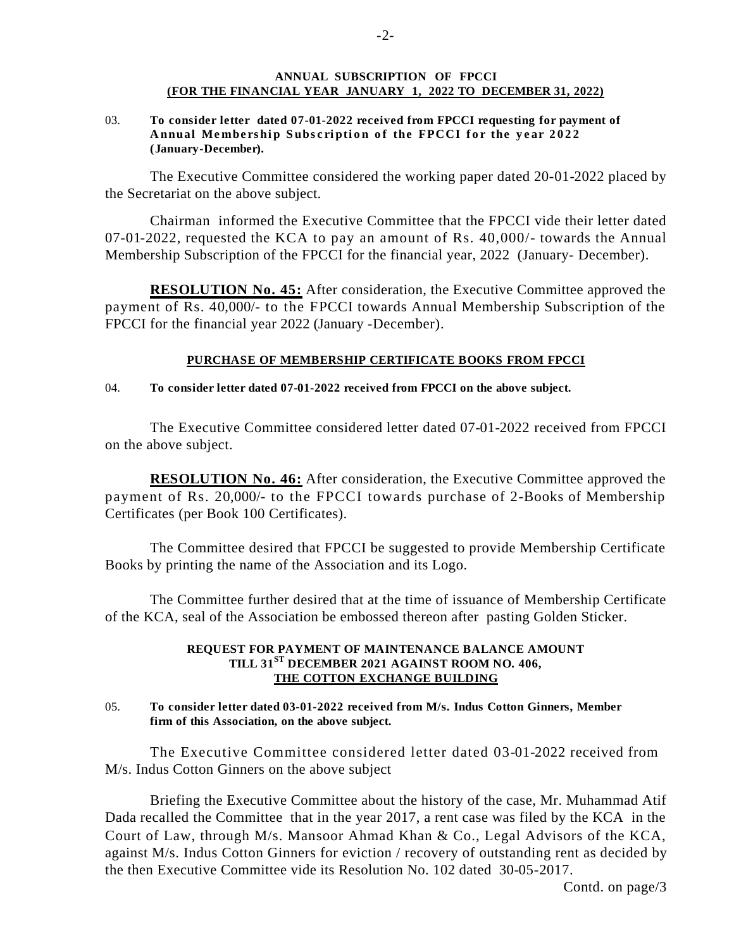#### **ANNUAL SUBSCRIPTION OF FPCCI (FOR THE FINANCIAL YEAR JANUARY 1, 2022 TO DECEMBER 31, 2022)**

03. **To consider letter dated 07-01-2022 received from FPCCI requesting for payment of Annual Membership Subscription of the FPCCI for the year 2022 (January-December).** 

The Executive Committee considered the working paper dated 20-01-2022 placed by the Secretariat on the above subject.

Chairman informed the Executive Committee that the FPCCI vide their letter dated 07-01-2022, requested the KCA to pay an amount of Rs. 40,000/- towards the Annual Membership Subscription of the FPCCI for the financial year, 2022 (January- December).

**RESOLUTION No. 45:** After consideration, the Executive Committee approved the payment of Rs. 40,000/- to the FPCCI towards Annual Membership Subscription of the FPCCI for the financial year 2022 (January -December).

#### **PURCHASE OF MEMBERSHIP CERTIFICATE BOOKS FROM FPCCI**

#### 04. **To consider letter dated 07-01-2022 received from FPCCI on the above subject.**

The Executive Committee considered letter dated 07-01-2022 received from FPCCI on the above subject.

**RESOLUTION No. 46:** After consideration, the Executive Committee approved the payment of Rs. 20,000/- to the FPCCI towards purchase of 2-Books of Membership Certificates (per Book 100 Certificates).

The Committee desired that FPCCI be suggested to provide Membership Certificate Books by printing the name of the Association and its Logo.

The Committee further desired that at the time of issuance of Membership Certificate of the KCA, seal of the Association be embossed thereon after pasting Golden Sticker.

#### **REQUEST FOR PAYMENT OF MAINTENANCE BALANCE AMOUNT TILL 31ST DECEMBER 2021 AGAINST ROOM NO. 406, THE COTTON EXCHANGE BUILDING**

#### 05. **To consider letter dated 03-01-2022 received from M/s. Indus Cotton Ginners, Member firm of this Association, on the above subject.**

The Executive Committee considered letter dated 03-01-2022 received from M/s. Indus Cotton Ginners on the above subject

Briefing the Executive Committee about the history of the case, Mr. Muhammad Atif Dada recalled the Committee that in the year 2017, a rent case was filed by the KCA in the Court of Law, through M/s. Mansoor Ahmad Khan & Co., Legal Advisors of the KCA, against M/s. Indus Cotton Ginners for eviction / recovery of outstanding rent as decided by the then Executive Committee vide its Resolution No. 102 dated 30-05-2017.

Contd. on page/3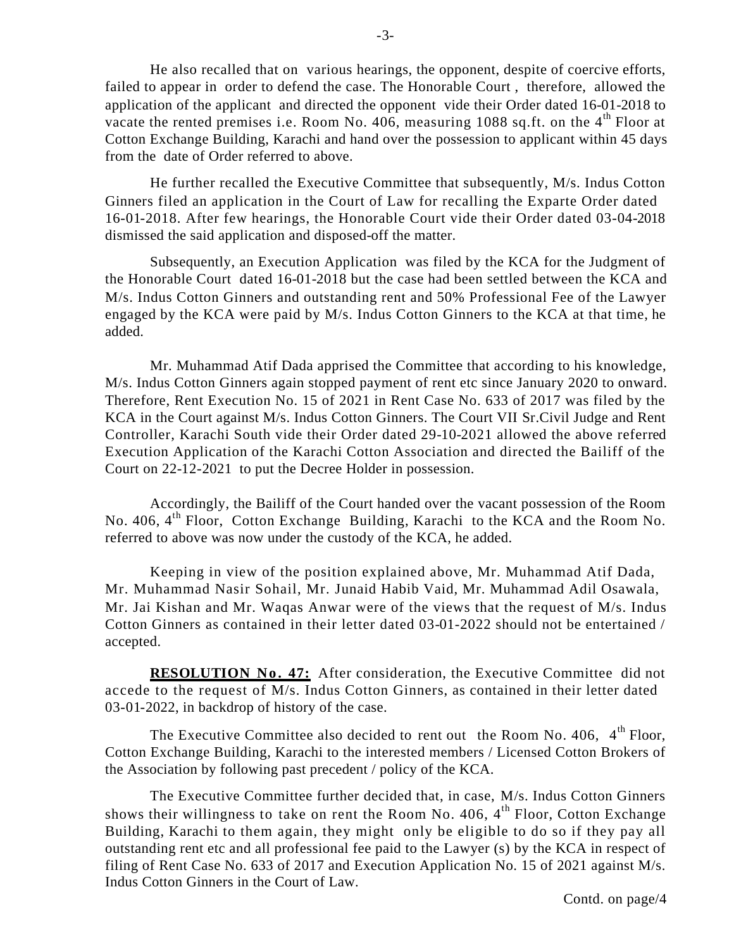He also recalled that on various hearings, the opponent, despite of coercive efforts, failed to appear in order to defend the case. The Honorable Court , therefore, allowed the application of the applicant and directed the opponent vide their Order dated 16-01-2018 to vacate the rented premises i.e. Room No. 406, measuring 1088 sq.ft. on the  $4<sup>th</sup>$  Floor at Cotton Exchange Building, Karachi and hand over the possession to applicant within 45 days from the date of Order referred to above.

He further recalled the Executive Committee that subsequently, M/s. Indus Cotton Ginners filed an application in the Court of Law for recalling the Exparte Order dated 16-01-2018. After few hearings, the Honorable Court vide their Order dated 03-04-2018 dismissed the said application and disposed-off the matter.

Subsequently, an Execution Application was filed by the KCA for the Judgment of the Honorable Court dated 16-01-2018 but the case had been settled between the KCA and M/s. Indus Cotton Ginners and outstanding rent and 50% Professional Fee of the Lawyer engaged by the KCA were paid by M/s. Indus Cotton Ginners to the KCA at that time, he added.

Mr. Muhammad Atif Dada apprised the Committee that according to his knowledge, M/s. Indus Cotton Ginners again stopped payment of rent etc since January 2020 to onward. Therefore, Rent Execution No. 15 of 2021 in Rent Case No. 633 of 2017 was filed by the KCA in the Court against M/s. Indus Cotton Ginners. The Court VII Sr.Civil Judge and Rent Controller, Karachi South vide their Order dated 29-10-2021 allowed the above referred Execution Application of the Karachi Cotton Association and directed the Bailiff of the Court on 22-12-2021 to put the Decree Holder in possession.

Accordingly, the Bailiff of the Court handed over the vacant possession of the Room No. 406, 4th Floor, Cotton Exchange Building, Karachi to the KCA and the Room No. referred to above was now under the custody of the KCA, he added.

Keeping in view of the position explained above, Mr. Muhammad Atif Dada, Mr. Muhammad Nasir Sohail, Mr. Junaid Habib Vaid, Mr. Muhammad Adil Osawala, Mr. Jai Kishan and Mr. Waqas Anwar were of the views that the request of M/s. Indus Cotton Ginners as contained in their letter dated 03-01-2022 should not be entertained / accepted.

**RESOLUTION No. 47:** After consideration, the Executive Committee did not accede to the request of M/s. Indus Cotton Ginners, as contained in their letter dated 03-01-2022, in backdrop of history of the case.

The Executive Committee also decided to rent out the Room No. 406,  $4<sup>th</sup>$  Floor, Cotton Exchange Building, Karachi to the interested members / Licensed Cotton Brokers of the Association by following past precedent / policy of the KCA.

The Executive Committee further decided that, in case, M/s. Indus Cotton Ginners shows their willingness to take on rent the Room No. 406,  $4<sup>th</sup>$  Floor, Cotton Exchange Building, Karachi to them again, they might only be eligible to do so if they pay all outstanding rent etc and all professional fee paid to the Lawyer (s) by the KCA in respect of filing of Rent Case No. 633 of 2017 and Execution Application No. 15 of 2021 against M/s. Indus Cotton Ginners in the Court of Law.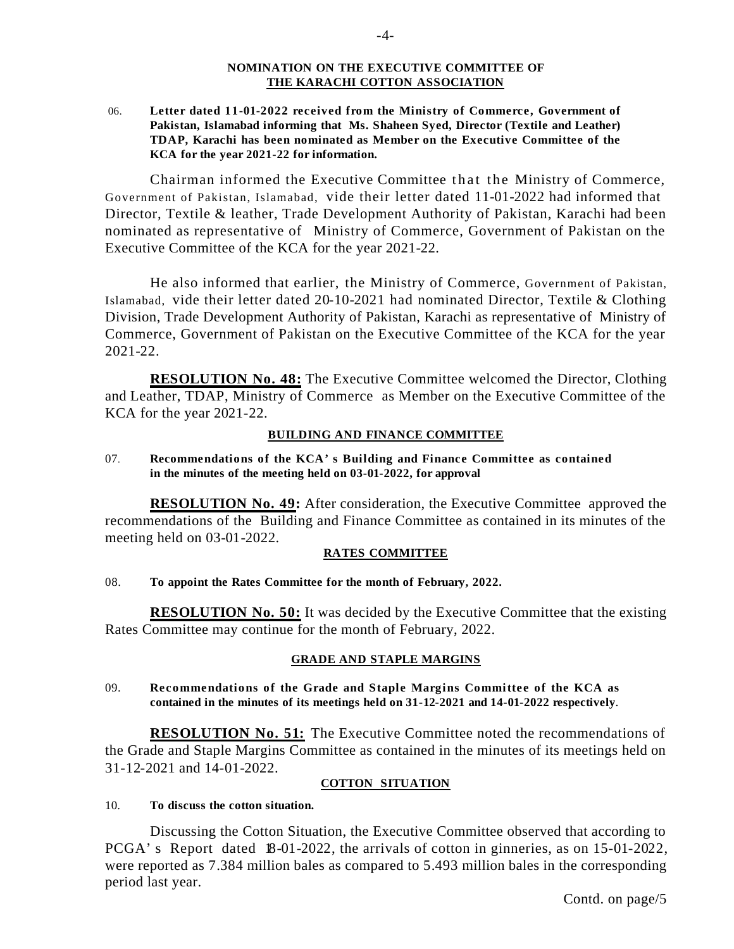#### **NOMINATION ON THE EXECUTIVE COMMITTEE OF THE KARACHI COTTON ASSOCIATION**

 06. **Letter dated 11-01-2022 received from the Ministry of Commerce, Government of Pakistan, Islamabad informing that Ms. Shaheen Syed, Director (Textile and Leather) TDAP, Karachi has been nominated as Member on the Executive Committee of the KCA for the year 2021-22 for information.** 

Chairman informed the Executive Committee that the Ministry of Commerce, Government of Pakistan, Islamabad, vide their letter dated 11-01-2022 had informed that Director, Textile & leather, Trade Development Authority of Pakistan, Karachi had been nominated as representative of Ministry of Commerce, Government of Pakistan on the Executive Committee of the KCA for the year 2021-22.

He also informed that earlier, the Ministry of Commerce, Government of Pakistan, Islamabad, vide their letter dated 20-10-2021 had nominated Director, Textile & Clothing Division, Trade Development Authority of Pakistan, Karachi as representative of Ministry of Commerce, Government of Pakistan on the Executive Committee of the KCA for the year 2021-22.

**RESOLUTION No. 48:** The Executive Committee welcomed the Director, Clothing and Leather, TDAP, Ministry of Commerce as Member on the Executive Committee of the KCA for the year 2021-22.

#### **BUILDING AND FINANCE COMMITTEE**

07. **Recommendations of the KCA's Building and Finance Committee as contained in the minutes of the meeting held on 03-01-2022, for approval**

**RESOLUTION No. 49:** After consideration, the Executive Committee approved the recommendations of the Building and Finance Committee as contained in its minutes of the meeting held on 03-01-2022.

#### **RATES COMMITTEE**

# 08. **To appoint the Rates Committee for the month of February, 2022.**

**RESOLUTION No. 50:** It was decided by the Executive Committee that the existing Rates Committee may continue for the month of February, 2022.

# **GRADE AND STAPLE MARGINS**

09. **Recommendations of the Grade and Staple Margins Committee of the KCA as contained in the minutes of its meetings held on 31-12-2021 and 14-01-2022 respectively.** 

**RESOLUTION No. 51:** The Executive Committee noted the recommendations of the Grade and Staple Margins Committee as contained in the minutes of its meetings held on 31-12-2021 and 14-01-2022.

#### **COTTON SITUATION**

#### 10. **To discuss the cotton situation.**

Discussing the Cotton Situation, the Executive Committee observed that according to PCGA's Report dated 18-01-2022, the arrivals of cotton in ginneries, as on 15-01-2022, were reported as 7.384 million bales as compared to 5.493 million bales in the corresponding period last year.